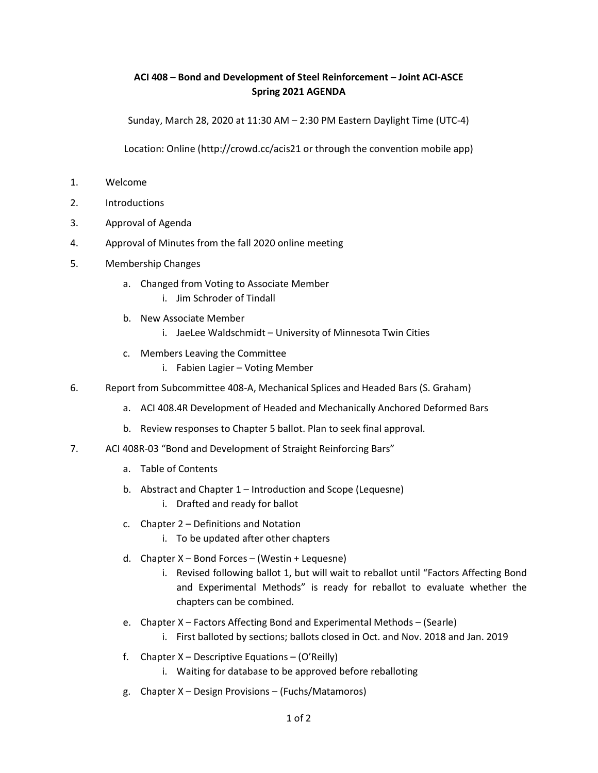## ACI 408 – Bond and Development of Steel Reinforcement – Joint ACI-ASCE Spring 2021 AGENDA

Sunday, March 28, 2020 at 11:30 AM – 2:30 PM Eastern Daylight Time (UTC-4)

Location: Online (http://crowd.cc/acis21 or through the convention mobile app)

- 1. Welcome
- 2. Introductions
- 3. Approval of Agenda
- 4. Approval of Minutes from the fall 2020 online meeting
- 5. Membership Changes
	- a. Changed from Voting to Associate Member
		- i. Jim Schroder of Tindall
	- b. New Associate Member
		- i. JaeLee Waldschmidt University of Minnesota Twin Cities
	- c. Members Leaving the Committee
		- i. Fabien Lagier Voting Member
- 6. Report from Subcommittee 408-A, Mechanical Splices and Headed Bars (S. Graham)
	- a. ACI 408.4R Development of Headed and Mechanically Anchored Deformed Bars
	- b. Review responses to Chapter 5 ballot. Plan to seek final approval.
- 7. ACI 408R-03 "Bond and Development of Straight Reinforcing Bars"
	- a. Table of Contents
	- b. Abstract and Chapter 1 Introduction and Scope (Lequesne)
		- i. Drafted and ready for ballot
	- c. Chapter 2 Definitions and Notation
		- i. To be updated after other chapters
	- d. Chapter X Bond Forces (Westin + Lequesne)
		- i. Revised following ballot 1, but will wait to reballot until "Factors Affecting Bond and Experimental Methods" is ready for reballot to evaluate whether the chapters can be combined.
	- e. Chapter X Factors Affecting Bond and Experimental Methods (Searle)
		- i. First balloted by sections; ballots closed in Oct. and Nov. 2018 and Jan. 2019
	- f. Chapter  $X$  Descriptive Equations (O'Reilly)
		- i. Waiting for database to be approved before reballoting
	- g. Chapter X Design Provisions (Fuchs/Matamoros)